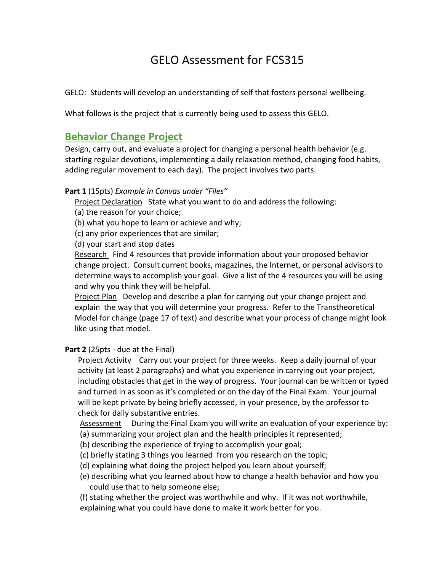# GELO Assessment for FCS315

GELO: Students will develop an understanding of self that fosters personal wellbeing.

What follows is the project that is currently being used to assess this GELO.

# **Behavior Change Project**

Design, carry out, and evaluate a project for changing a personal health behavior (e.g. starting regular devotions, implementing a daily relaxation method, changing food habits, adding regular movement to each day). The project involves two parts.

#### **Part 1** (15pts) *Example in Canvas under "Files"*

Project Declaration State what you want to do and address the following:

- (a) the reason for your choice;
- (b) what you hope to learn or achieve and why;
- (c) any prior experiences that are similar;
- (d) your start and stop dates

Research Find 4 resources that provide information about your proposed behavior change project. Consult current books, magazines, the Internet, or personal advisors to determine ways to accomplish your goal. Give a list of the 4 resources you will be using and why you think they will be helpful.

Project Plan Develop and describe a plan for carrying out your change project and explain the way that you will determine your progress. Refer to the Transtheoretical Model for change (page 17 of text) and describe what your process of change might look like using that model.

#### **Part 2** (25pts - due at the Final)

Project Activity Carry out your project for three weeks. Keep a daily journal of your activity (at least 2 paragraphs) and what you experience in carrying out your project, including obstacles that get in the way of progress. Your journal can be written or typed and turned in as soon as it's completed or on the day of the Final Exam. Your journal will be kept private by being briefly accessed, in your presence, by the professor to check for daily substantive entries.

Assessment During the Final Exam you will write an evaluation of your experience by:

- (a) summarizing your project plan and the health principles it represented;
- (b) describing the experience of trying to accomplish your goal;
- (c) briefly stating 3 things you learned from you research on the topic;
- (d) explaining what doing the project helped you learn about yourself;
- (e) describing what you learned about how to change a health behavior and how you could use that to help someone else;
- (f) stating whether the project was worthwhile and why. If it was not worthwhile, explaining what you could have done to make it work better for you.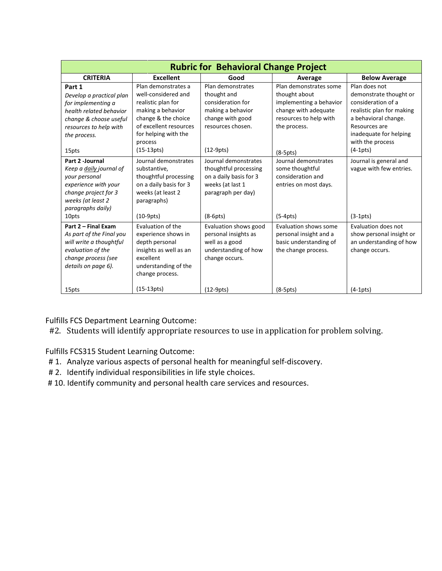| <b>Rubric for Behavioral Change Project</b> |                        |                        |                         |                           |
|---------------------------------------------|------------------------|------------------------|-------------------------|---------------------------|
| <b>CRITERIA</b>                             | <b>Excellent</b>       | Good                   | Average                 | <b>Below Average</b>      |
| Part 1                                      | Plan demonstrates a    | Plan demonstrates      | Plan demonstrates some  | Plan does not             |
| Develop a practical plan                    | well-considered and    | thought and            | thought about           | demonstrate thought or    |
| for implementing a                          | realistic plan for     | consideration for      | implementing a behavior | consideration of a        |
| health related behavior                     | making a behavior      | making a behavior      | change with adequate    | realistic plan for making |
| change & choose useful                      | change & the choice    | change with good       | resources to help with  | a behavioral change.      |
| resources to help with                      | of excellent resources | resources chosen.      | the process.            | Resources are             |
| the process.                                | for helping with the   |                        |                         | inadequate for helping    |
|                                             | process                |                        |                         | with the process          |
| 15pts                                       | $(15-13pts)$           | $(12-9pts)$            | $(8-5pts)$              | $(4-1pts)$                |
| Part 2 - Journal                            | Journal demonstrates   | Journal demonstrates   | Journal demonstrates    | Journal is general and    |
| Keep a daily journal of                     | substantive,           | thoughtful processing  | some thoughtful         | vague with few entries.   |
| your personal                               | thoughtful processing  | on a daily basis for 3 | consideration and       |                           |
| experience with your                        | on a daily basis for 3 | weeks (at last 1       | entries on most days.   |                           |
| change project for 3                        | weeks (at least 2      | paragraph per day)     |                         |                           |
| weeks (at least 2                           | paragraphs)            |                        |                         |                           |
| paragraphs daily)                           |                        |                        |                         |                           |
| 10pts                                       | $(10-9pts)$            | $(8-6pts)$             | $(5-4pts)$              | $(3-1pts)$                |
| Part 2 - Final Exam                         | Evaluation of the      | Evaluation shows good  | Evaluation shows some   | Evaluation does not       |
| As part of the Final you                    | experience shows in    | personal insights as   | personal insight and a  | show personal insight or  |
| will write a thoughtful                     | depth personal         | well as a good         | basic understanding of  | an understanding of how   |
| evaluation of the                           | insights as well as an | understanding of how   | the change process.     | change occurs.            |
| change process (see                         | excellent              | change occurs.         |                         |                           |
| details on page 6).                         | understanding of the   |                        |                         |                           |
|                                             | change process.        |                        |                         |                           |
| 15pts                                       | $(15-13pts)$           | $(12-9pts)$            | $(8-5pts)$              | $(4-1pts)$                |

Fulfills FCS Department Learning Outcome:

#2. Students will identify appropriate resources to use in application for problem solving.

Fulfills FCS315 Student Learning Outcome:

- # 1. Analyze various aspects of personal health for meaningful self-discovery.
- # 2. Identify individual responsibilities in life style choices.
- #10. Identify community and personal health care services and resources.